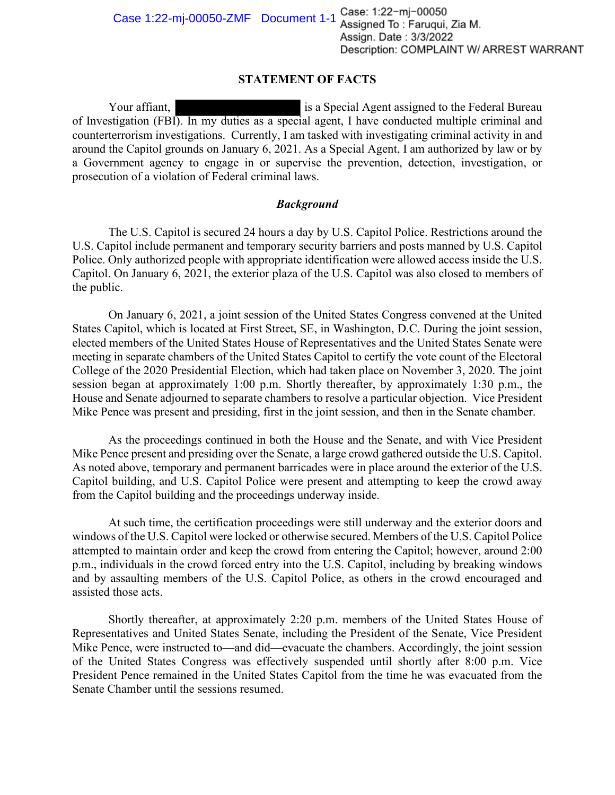## **STATEMENT OF FACTS**

Your affiant, is a Special Agent assigned to the Federal Bureau of Investigation (FBI). In my duties as a special agent, I have conducted multiple criminal and counterterrorism investigations. Currently, I am tasked with investigating criminal activity in and around the Capitol grounds on January 6, 2021. As a Special Agent, I am authorized by law or by a Government agency to engage in or supervise the prevention, detection, investigation, or prosecution of a violation of Federal criminal laws.

## *Background*

The U.S. Capitol is secured 24 hours a day by U.S. Capitol Police. Restrictions around the U.S. Capitol include permanent and temporary security barriers and posts manned by U.S. Capitol Police. Only authorized people with appropriate identification were allowed access inside the U.S. Capitol. On January 6, 2021, the exterior plaza of the U.S. Capitol was also closed to members of the public.

On January 6, 2021, a joint session of the United States Congress convened at the United States Capitol, which is located at First Street, SE, in Washington, D.C. During the joint session, elected members of the United States House of Representatives and the United States Senate were meeting in separate chambers of the United States Capitol to certify the vote count of the Electoral College of the 2020 Presidential Election, which had taken place on November 3, 2020. The joint session began at approximately 1:00 p.m. Shortly thereafter, by approximately 1:30 p.m., the House and Senate adjourned to separate chambers to resolve a particular objection. Vice President Mike Pence was present and presiding, first in the joint session, and then in the Senate chamber.

As the proceedings continued in both the House and the Senate, and with Vice President Mike Pence present and presiding over the Senate, a large crowd gathered outside the U.S. Capitol. As noted above, temporary and permanent barricades were in place around the exterior of the U.S. Capitol building, and U.S. Capitol Police were present and attempting to keep the crowd away from the Capitol building and the proceedings underway inside.

At such time, the certification proceedings were still underway and the exterior doors and windows of the U.S. Capitol were locked or otherwise secured. Members of the U.S. Capitol Police attempted to maintain order and keep the crowd from entering the Capitol; however, around 2:00 p.m., individuals in the crowd forced entry into the U.S. Capitol, including by breaking windows and by assaulting members of the U.S. Capitol Police, as others in the crowd encouraged and assisted those acts.

Shortly thereafter, at approximately 2:20 p.m. members of the United States House of Representatives and United States Senate, including the President of the Senate, Vice President Mike Pence, were instructed to—and did—evacuate the chambers. Accordingly, the joint session of the United States Congress was effectively suspended until shortly after 8:00 p.m. Vice President Pence remained in the United States Capitol from the time he was evacuated from the Senate Chamber until the sessions resumed.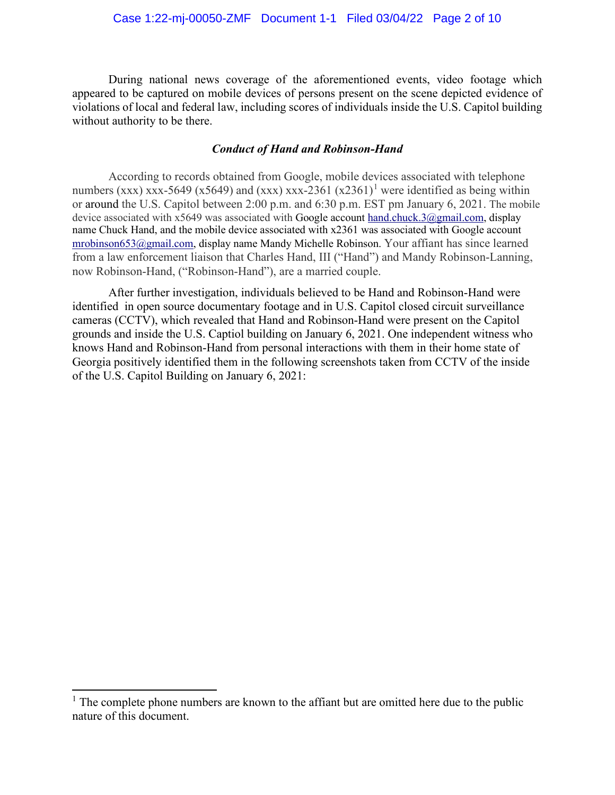During national news coverage of the aforementioned events, video footage which appeared to be captured on mobile devices of persons present on the scene depicted evidence of violations of local and federal law, including scores of individuals inside the U.S. Capitol building without authority to be there.

## *Conduct of Hand and Robinson-Hand*

According to records obtained from Google, mobile devices associated with telephone numbers (xxx) xxx-5649 (x5649) and (xxx) xxx-236[1](#page-1-0) (x2361)<sup>1</sup> were identified as being within or around the U.S. Capitol between 2:00 p.m. and 6:30 p.m. EST pm January 6, 2021. The mobile device associated with x5649 was associated with Google account [hand.chuck.3@gmail.com,](mailto:hand.chuck.3@gmail.com) display name Chuck Hand, and the mobile device associated with x2361 was associated with Google account [mrobinson653@gmail.com,](mailto:mrobinson653@gmail.com) display name Mandy Michelle Robinson. Your affiant has since learned from a law enforcement liaison that Charles Hand, III ("Hand") and Mandy Robinson-Lanning, now Robinson-Hand, ("Robinson-Hand"), are a married couple.

After further investigation, individuals believed to be Hand and Robinson-Hand were identified in open source documentary footage and in U.S. Capitol closed circuit surveillance cameras (CCTV), which revealed that Hand and Robinson-Hand were present on the Capitol grounds and inside the U.S. Captiol building on January 6, 2021. One independent witness who knows Hand and Robinson-Hand from personal interactions with them in their home state of Georgia positively identified them in the following screenshots taken from CCTV of the inside of the U.S. Capitol Building on January 6, 2021:

<span id="page-1-0"></span><sup>&</sup>lt;sup>1</sup> The complete phone numbers are known to the affiant but are omitted here due to the public nature of this document.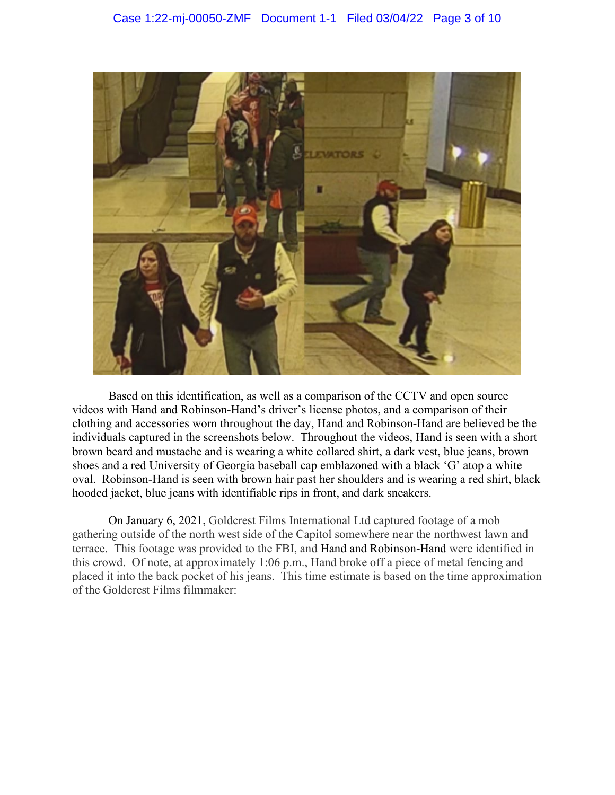

Based on this identification, as well as a comparison of the CCTV and open source videos with Hand and Robinson-Hand's driver's license photos, and a comparison of their clothing and accessories worn throughout the day, Hand and Robinson-Hand are believed be the individuals captured in the screenshots below. Throughout the videos, Hand is seen with a short brown beard and mustache and is wearing a white collared shirt, a dark vest, blue jeans, brown shoes and a red University of Georgia baseball cap emblazoned with a black 'G' atop a white oval. Robinson-Hand is seen with brown hair past her shoulders and is wearing a red shirt, black hooded jacket, blue jeans with identifiable rips in front, and dark sneakers.

On January 6, 2021, Goldcrest Films International Ltd captured footage of a mob gathering outside of the north west side of the Capitol somewhere near the northwest lawn and terrace. This footage was provided to the FBI, and Hand and Robinson-Hand were identified in this crowd. Of note, at approximately 1:06 p.m., Hand broke off a piece of metal fencing and placed it into the back pocket of his jeans. This time estimate is based on the time approximation of the Goldcrest Films filmmaker: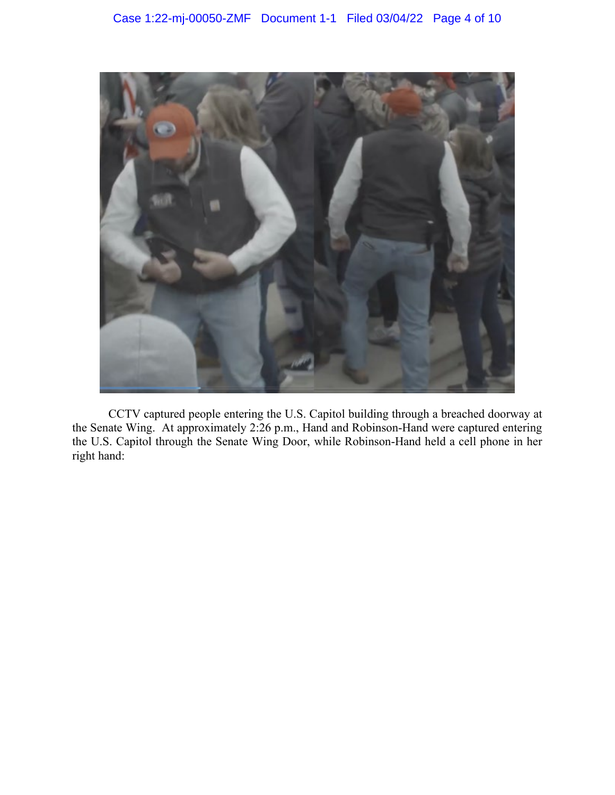

CCTV captured people entering the U.S. Capitol building through a breached doorway at the Senate Wing. At approximately 2:26 p.m., Hand and Robinson-Hand were captured entering the U.S. Capitol through the Senate Wing Door, while Robinson-Hand held a cell phone in her right hand: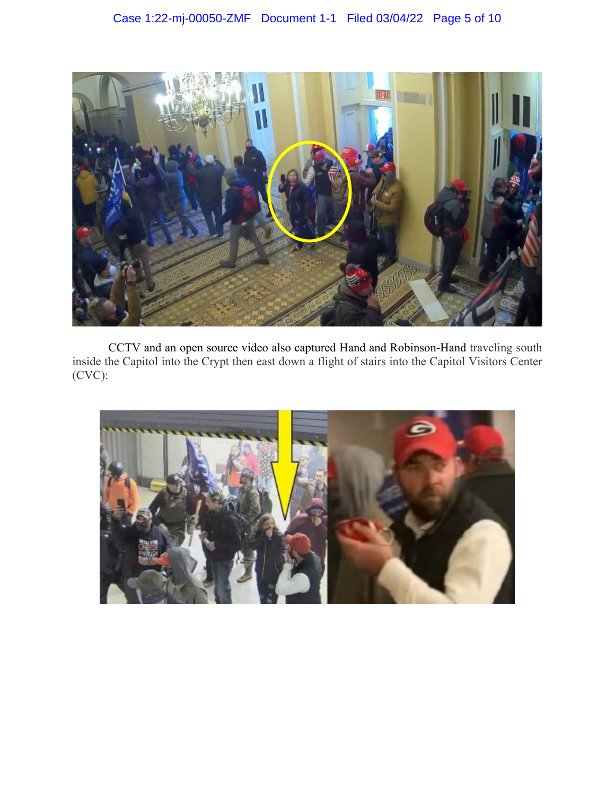

CCTV and an open source video also captured Hand and Robinson-Hand traveling south inside the Capitol into the Crypt then east down a flight of stairs into the Capitol Visitors Center (CVC):

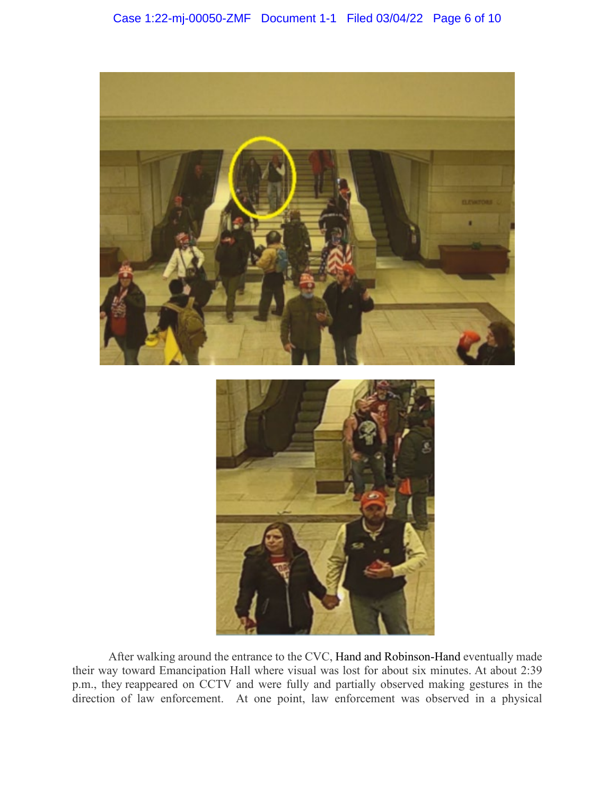

After walking around the entrance to the CVC, Hand and Robinson-Hand eventually made their way toward Emancipation Hall where visual was lost for about six minutes. At about 2:39 p.m., they reappeared on CCTV and were fully and partially observed making gestures in the direction of law enforcement. At one point, law enforcement was observed in a physical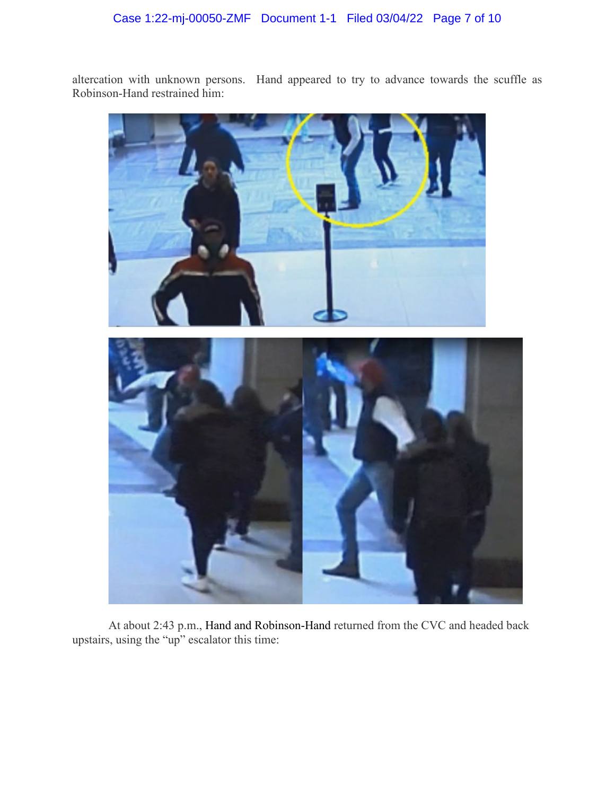altercation with unknown persons. Hand appeared to try to advance towards the scuffle as Robinson-Hand restrained him:



At about 2:43 p.m., Hand and Robinson-Hand returned from the CVC and headed back upstairs, using the "up" escalator this time: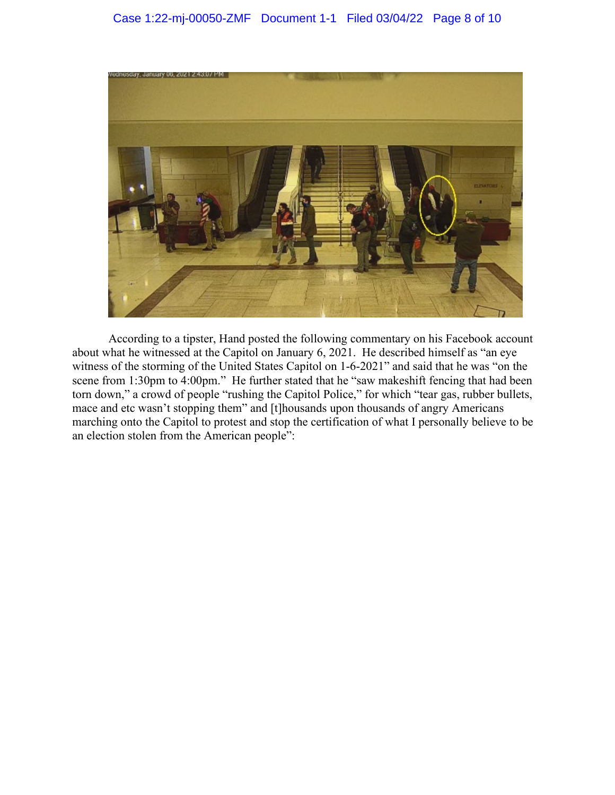

According to a tipster, Hand posted the following commentary on his Facebook account about what he witnessed at the Capitol on January 6, 2021. He described himself as "an eye witness of the storming of the United States Capitol on 1-6-2021" and said that he was "on the scene from 1:30pm to 4:00pm." He further stated that he "saw makeshift fencing that had been torn down," a crowd of people "rushing the Capitol Police," for which "tear gas, rubber bullets, mace and etc wasn't stopping them" and [t]housands upon thousands of angry Americans marching onto the Capitol to protest and stop the certification of what I personally believe to be an election stolen from the American people":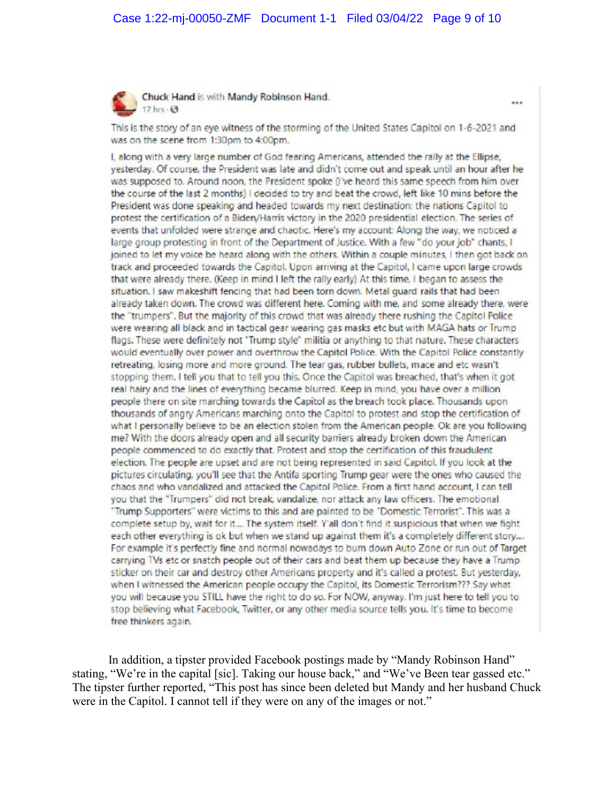

Chuck Hand is with Mandy Robinson Hand. 17 hrs $\cdot$  $\Theta$ 

This is the story of an eye witness of the storming of the United States Capitol on 1-6-2021 and was on the scene from 1:30pm to 4:00pm.

I, along with a very large number of God fearing Americans, attended the rally at the Ellipse, yesterday. Of course, the President was late and didn't come out and speak until an hour after he was supposed to. Around noon, the President spoke (I've heard this same speech from him over the course of the last 2 months) I decided to try and beat the crowd, left like 10 mins before the President was done speaking and headed towards my next destination: the nations Capitol to protest the certification of a Biden/Harris victory in the 2020 presidential election. The series of events that unfolded were strange and chaotic. Here's my account: Along the way, we noticed a large group protesting in front of the Department of Justice. With a few "do your job" chants, I joined to let my voice be heard along with the others. Within a couple minutes, I then got back on track and proceeded towards the Capitol. Upon arriving at the Capitol, I came upon large crowds that were already there. (Keep in mind I left the rally early) At this time, I began to assess the situation. I saw makeshift fencing that had been torn down. Metal guard rails that had been already taken down. The crowd was different here. Coming with me, and some already there, were the "trumpers". But the majority of this crowd that was already there rushing the Capitol Police were wearing all black and in tactical gear wearing gas masks etc but with MAGA hats or Trump flags. These were definitely not "Trump style" militia or anything to that nature. These characters would eventually over power and overthrow the Capitol Police. With the Capitol Police constantly retreating, losing more and more ground. The tear gas, rubber bullets, mace and etc wasn't stopping them. I tell you that to tell you this. Once the Capitol was breached, that's when it got real hairy and the lines of everything became blurred. Keep in mind, you have over a million people there on site marching towards the Capitol as the breach took place. Thousands upon thousands of angry Americans marching onto the Capitol to protest and stop the certification of what I personally believe to be an election stolen from the American people. Ok are you following me? With the doors already open and all security barriers already broken down the American people commenced to do exactly that. Protest and stop the certification of this fraudulent election. The people are upset and are not being represented in said Capitol. If you look at the pictures circulating, you'll see that the Antifa sporting Trump gear were the ones who caused the chaos and who vandalized and attacked the Capitol Police. From a first hand account, I can tell you that the "Trumpers" did not break, vandalize, nor attack any law officers. The emotional "Trump Supporters" were victims to this and are painted to be "Domestic Terrorist". This was a complete setup by, wait for it.... The system itself. Y'all don't find it suspicious that when we fight each other everything is ok but when we stand up against them it's a completely different story.... For example it's perfectly fine and normal nowadays to burn down Auto Zone or run out of Target carrying TVs etc or snatch people out of their cars and beat them up because they have a Trump sticker on their car and destroy other Americans property and it's called a protest. But yesterday, when I witnessed the American people occupy the Capitol, its Domestic Terrorism??? Say what you will because you STILL have the right to do so. For NOW, anyway. I'm just here to tell you to stop believing what Facebook. Twitter, or any other media source tells you. It's time to become free thinkers again.

In addition, a tipster provided Facebook postings made by "Mandy Robinson Hand" stating, "We're in the capital [sic]. Taking our house back," and "We've Been tear gassed etc." The tipster further reported, "This post has since been deleted but Mandy and her husband Chuck were in the Capitol. I cannot tell if they were on any of the images or not."